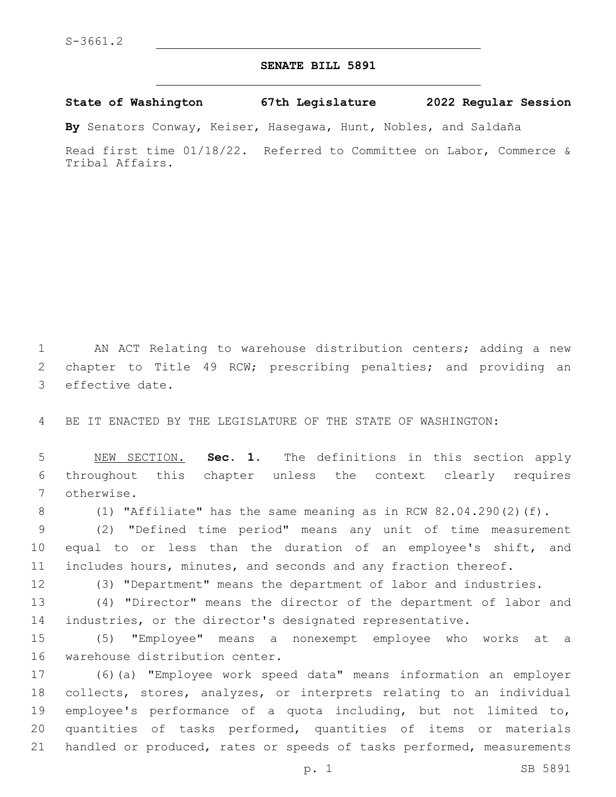## **SENATE BILL 5891**

**State of Washington 67th Legislature 2022 Regular Session**

**By** Senators Conway, Keiser, Hasegawa, Hunt, Nobles, and Saldaña

Read first time 01/18/22. Referred to Committee on Labor, Commerce & Tribal Affairs.

 AN ACT Relating to warehouse distribution centers; adding a new chapter to Title 49 RCW; prescribing penalties; and providing an 3 effective date.

BE IT ENACTED BY THE LEGISLATURE OF THE STATE OF WASHINGTON:

 NEW SECTION. **Sec. 1.** The definitions in this section apply throughout this chapter unless the context clearly requires otherwise.

(1) "Affiliate" has the same meaning as in RCW 82.04.290(2)(f).

 (2) "Defined time period" means any unit of time measurement equal to or less than the duration of an employee's shift, and includes hours, minutes, and seconds and any fraction thereof.

(3) "Department" means the department of labor and industries.

 (4) "Director" means the director of the department of labor and industries, or the director's designated representative.

 (5) "Employee" means a nonexempt employee who works at a 16 warehouse distribution center.

 (6)(a) "Employee work speed data" means information an employer collects, stores, analyzes, or interprets relating to an individual employee's performance of a quota including, but not limited to, quantities of tasks performed, quantities of items or materials 21 handled or produced, rates or speeds of tasks performed, measurements

p. 1 SB 5891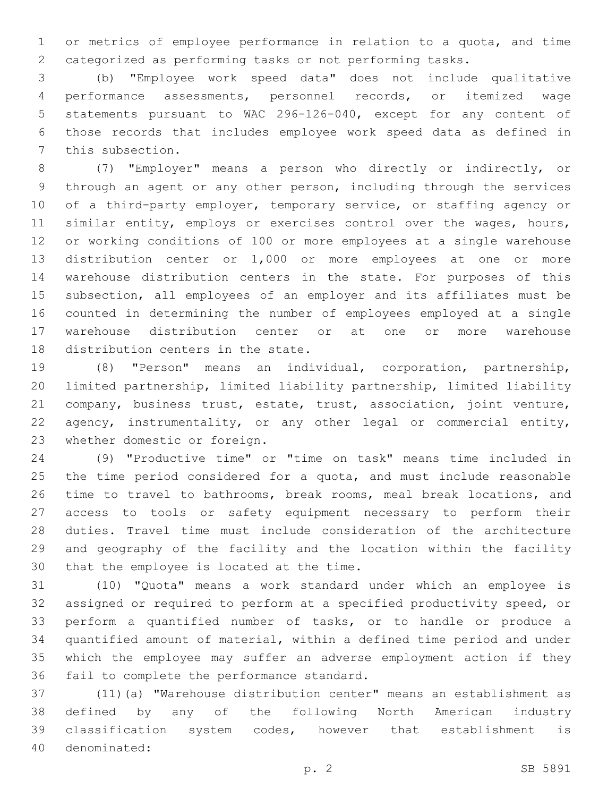or metrics of employee performance in relation to a quota, and time categorized as performing tasks or not performing tasks.

 (b) "Employee work speed data" does not include qualitative performance assessments, personnel records, or itemized wage statements pursuant to WAC 296-126-040, except for any content of those records that includes employee work speed data as defined in 7 this subsection.

 (7) "Employer" means a person who directly or indirectly, or through an agent or any other person, including through the services 10 of a third-party employer, temporary service, or staffing agency or 11 similar entity, employs or exercises control over the wages, hours, or working conditions of 100 or more employees at a single warehouse distribution center or 1,000 or more employees at one or more warehouse distribution centers in the state. For purposes of this subsection, all employees of an employer and its affiliates must be counted in determining the number of employees employed at a single warehouse distribution center or at one or more warehouse 18 distribution centers in the state.

 (8) "Person" means an individual, corporation, partnership, limited partnership, limited liability partnership, limited liability company, business trust, estate, trust, association, joint venture, agency, instrumentality, or any other legal or commercial entity, 23 whether domestic or foreign.

 (9) "Productive time" or "time on task" means time included in the time period considered for a quota, and must include reasonable time to travel to bathrooms, break rooms, meal break locations, and access to tools or safety equipment necessary to perform their duties. Travel time must include consideration of the architecture and geography of the facility and the location within the facility 30 that the employee is located at the time.

 (10) "Quota" means a work standard under which an employee is assigned or required to perform at a specified productivity speed, or perform a quantified number of tasks, or to handle or produce a quantified amount of material, within a defined time period and under which the employee may suffer an adverse employment action if they 36 fail to complete the performance standard.

 (11)(a) "Warehouse distribution center" means an establishment as defined by any of the following North American industry classification system codes, however that establishment is 40 denominated: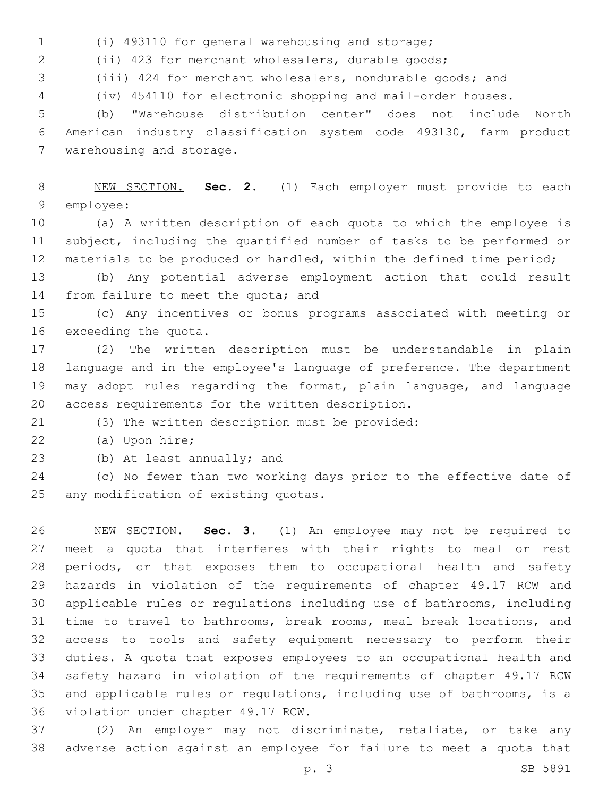(i) 493110 for general warehousing and storage;

(ii) 423 for merchant wholesalers, durable goods;

(iii) 424 for merchant wholesalers, nondurable goods; and

(iv) 454110 for electronic shopping and mail-order houses.

 (b) "Warehouse distribution center" does not include North American industry classification system code 493130, farm product 7 warehousing and storage.

 NEW SECTION. **Sec. 2.** (1) Each employer must provide to each employee:

 (a) A written description of each quota to which the employee is subject, including the quantified number of tasks to be performed or materials to be produced or handled, within the defined time period;

 (b) Any potential adverse employment action that could result 14 from failure to meet the quota; and

 (c) Any incentives or bonus programs associated with meeting or 16 exceeding the quota.

 (2) The written description must be understandable in plain language and in the employee's language of preference. The department may adopt rules regarding the format, plain language, and language 20 access requirements for the written description.

(3) The written description must be provided:21

22 (a) Upon hire;

23 (b) At least annually; and

 (c) No fewer than two working days prior to the effective date of 25 any modification of existing quotas.

 NEW SECTION. **Sec. 3.** (1) An employee may not be required to meet a quota that interferes with their rights to meal or rest periods, or that exposes them to occupational health and safety hazards in violation of the requirements of chapter 49.17 RCW and applicable rules or regulations including use of bathrooms, including time to travel to bathrooms, break rooms, meal break locations, and access to tools and safety equipment necessary to perform their duties. A quota that exposes employees to an occupational health and safety hazard in violation of the requirements of chapter 49.17 RCW and applicable rules or regulations, including use of bathrooms, is a violation under chapter 49.17 RCW.

 (2) An employer may not discriminate, retaliate, or take any adverse action against an employee for failure to meet a quota that

p. 3 SB 5891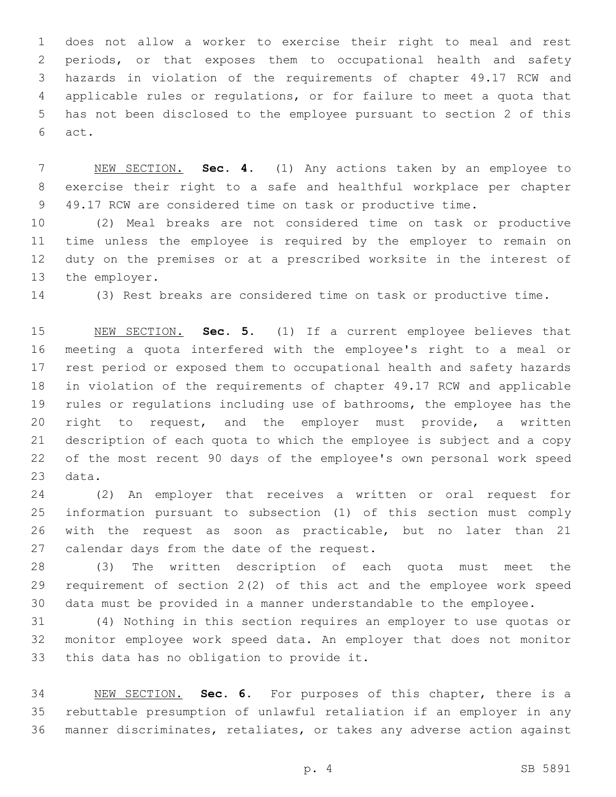does not allow a worker to exercise their right to meal and rest periods, or that exposes them to occupational health and safety hazards in violation of the requirements of chapter 49.17 RCW and applicable rules or regulations, or for failure to meet a quota that has not been disclosed to the employee pursuant to section 2 of this act.6

 NEW SECTION. **Sec. 4.** (1) Any actions taken by an employee to exercise their right to a safe and healthful workplace per chapter 49.17 RCW are considered time on task or productive time.

 (2) Meal breaks are not considered time on task or productive time unless the employee is required by the employer to remain on duty on the premises or at a prescribed worksite in the interest of 13 the employer.

(3) Rest breaks are considered time on task or productive time.

 NEW SECTION. **Sec. 5.** (1) If a current employee believes that meeting a quota interfered with the employee's right to a meal or rest period or exposed them to occupational health and safety hazards in violation of the requirements of chapter 49.17 RCW and applicable rules or regulations including use of bathrooms, the employee has the right to request, and the employer must provide, a written description of each quota to which the employee is subject and a copy of the most recent 90 days of the employee's own personal work speed data.

 (2) An employer that receives a written or oral request for information pursuant to subsection (1) of this section must comply with the request as soon as practicable, but no later than 21 27 calendar days from the date of the request.

 (3) The written description of each quota must meet the requirement of section 2(2) of this act and the employee work speed data must be provided in a manner understandable to the employee.

 (4) Nothing in this section requires an employer to use quotas or monitor employee work speed data. An employer that does not monitor 33 this data has no obligation to provide it.

 NEW SECTION. **Sec. 6.** For purposes of this chapter, there is a rebuttable presumption of unlawful retaliation if an employer in any manner discriminates, retaliates, or takes any adverse action against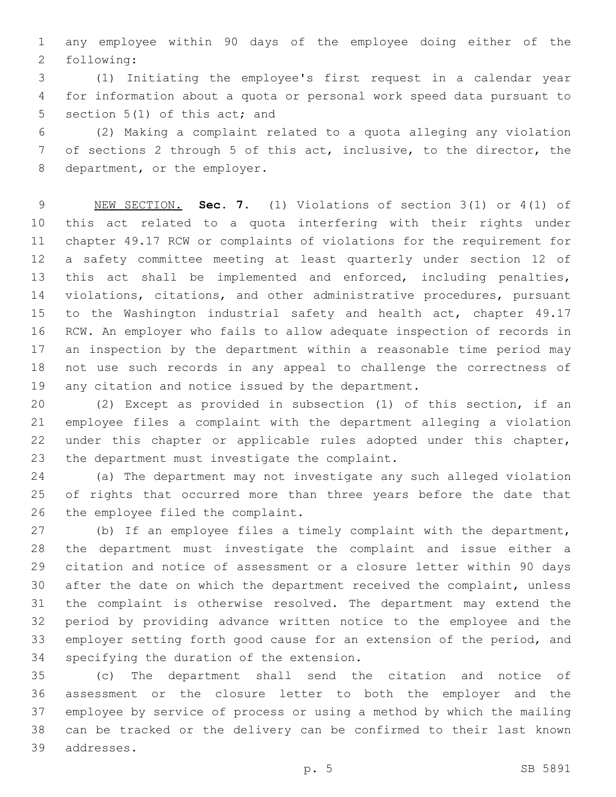any employee within 90 days of the employee doing either of the 2 following:

 (1) Initiating the employee's first request in a calendar year for information about a quota or personal work speed data pursuant to 5 section 5(1) of this act; and

 (2) Making a complaint related to a quota alleging any violation of sections 2 through 5 of this act, inclusive, to the director, the 8 department, or the employer.

 NEW SECTION. **Sec. 7.** (1) Violations of section 3(1) or 4(1) of this act related to a quota interfering with their rights under chapter 49.17 RCW or complaints of violations for the requirement for a safety committee meeting at least quarterly under section 12 of 13 this act shall be implemented and enforced, including penalties, violations, citations, and other administrative procedures, pursuant 15 to the Washington industrial safety and health act, chapter 49.17 RCW. An employer who fails to allow adequate inspection of records in an inspection by the department within a reasonable time period may not use such records in any appeal to challenge the correctness of any citation and notice issued by the department.

 (2) Except as provided in subsection (1) of this section, if an employee files a complaint with the department alleging a violation under this chapter or applicable rules adopted under this chapter, 23 the department must investigate the complaint.

 (a) The department may not investigate any such alleged violation of rights that occurred more than three years before the date that 26 the employee filed the complaint.

 (b) If an employee files a timely complaint with the department, the department must investigate the complaint and issue either a citation and notice of assessment or a closure letter within 90 days after the date on which the department received the complaint, unless the complaint is otherwise resolved. The department may extend the period by providing advance written notice to the employee and the employer setting forth good cause for an extension of the period, and 34 specifying the duration of the extension.

 (c) The department shall send the citation and notice of assessment or the closure letter to both the employer and the employee by service of process or using a method by which the mailing can be tracked or the delivery can be confirmed to their last known addresses.39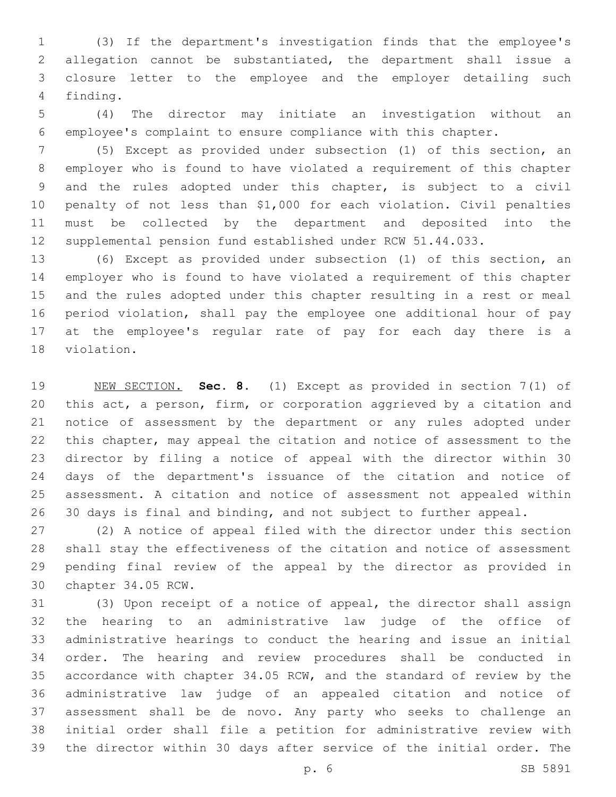(3) If the department's investigation finds that the employee's allegation cannot be substantiated, the department shall issue a closure letter to the employee and the employer detailing such 4 finding.

 (4) The director may initiate an investigation without an employee's complaint to ensure compliance with this chapter.

 (5) Except as provided under subsection (1) of this section, an employer who is found to have violated a requirement of this chapter and the rules adopted under this chapter, is subject to a civil penalty of not less than \$1,000 for each violation. Civil penalties must be collected by the department and deposited into the supplemental pension fund established under RCW 51.44.033.

 (6) Except as provided under subsection (1) of this section, an employer who is found to have violated a requirement of this chapter and the rules adopted under this chapter resulting in a rest or meal period violation, shall pay the employee one additional hour of pay at the employee's regular rate of pay for each day there is a 18 violation.

 NEW SECTION. **Sec. 8.** (1) Except as provided in section 7(1) of this act, a person, firm, or corporation aggrieved by a citation and notice of assessment by the department or any rules adopted under this chapter, may appeal the citation and notice of assessment to the director by filing a notice of appeal with the director within 30 days of the department's issuance of the citation and notice of assessment. A citation and notice of assessment not appealed within 30 days is final and binding, and not subject to further appeal.

 (2) A notice of appeal filed with the director under this section shall stay the effectiveness of the citation and notice of assessment pending final review of the appeal by the director as provided in 30 chapter 34.05 RCW.

 (3) Upon receipt of a notice of appeal, the director shall assign the hearing to an administrative law judge of the office of administrative hearings to conduct the hearing and issue an initial order. The hearing and review procedures shall be conducted in accordance with chapter 34.05 RCW, and the standard of review by the administrative law judge of an appealed citation and notice of assessment shall be de novo. Any party who seeks to challenge an initial order shall file a petition for administrative review with the director within 30 days after service of the initial order. The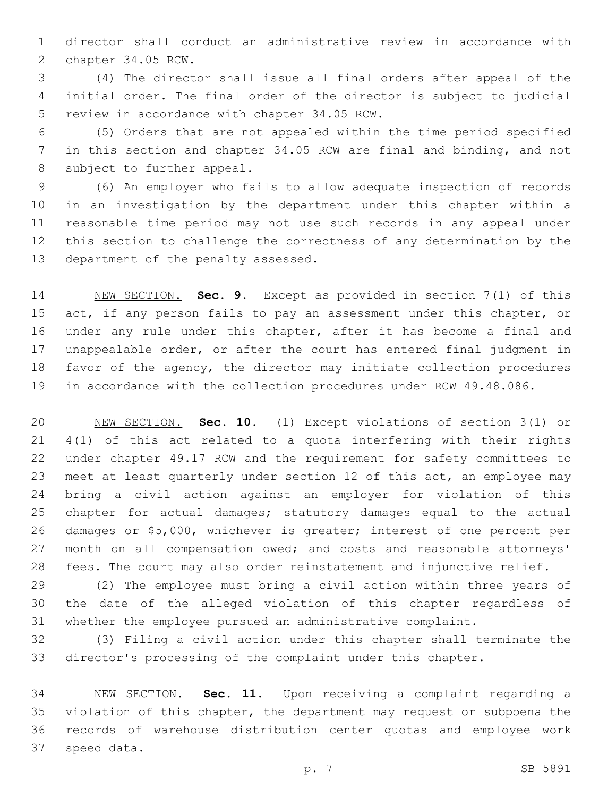director shall conduct an administrative review in accordance with 2 chapter 34.05 RCW.

 (4) The director shall issue all final orders after appeal of the initial order. The final order of the director is subject to judicial 5 review in accordance with chapter 34.05 RCW.

 (5) Orders that are not appealed within the time period specified in this section and chapter 34.05 RCW are final and binding, and not 8 subject to further appeal.

 (6) An employer who fails to allow adequate inspection of records in an investigation by the department under this chapter within a reasonable time period may not use such records in any appeal under this section to challenge the correctness of any determination by the 13 department of the penalty assessed.

 NEW SECTION. **Sec. 9.** Except as provided in section 7(1) of this 15 act, if any person fails to pay an assessment under this chapter, or under any rule under this chapter, after it has become a final and unappealable order, or after the court has entered final judgment in favor of the agency, the director may initiate collection procedures in accordance with the collection procedures under RCW 49.48.086.

 NEW SECTION. **Sec. 10.** (1) Except violations of section 3(1) or 4(1) of this act related to a quota interfering with their rights under chapter 49.17 RCW and the requirement for safety committees to 23 meet at least quarterly under section 12 of this act, an employee may bring a civil action against an employer for violation of this chapter for actual damages; statutory damages equal to the actual damages or \$5,000, whichever is greater; interest of one percent per month on all compensation owed; and costs and reasonable attorneys' fees. The court may also order reinstatement and injunctive relief.

 (2) The employee must bring a civil action within three years of the date of the alleged violation of this chapter regardless of whether the employee pursued an administrative complaint.

 (3) Filing a civil action under this chapter shall terminate the director's processing of the complaint under this chapter.

 NEW SECTION. **Sec. 11.** Upon receiving a complaint regarding a violation of this chapter, the department may request or subpoena the records of warehouse distribution center quotas and employee work speed data.